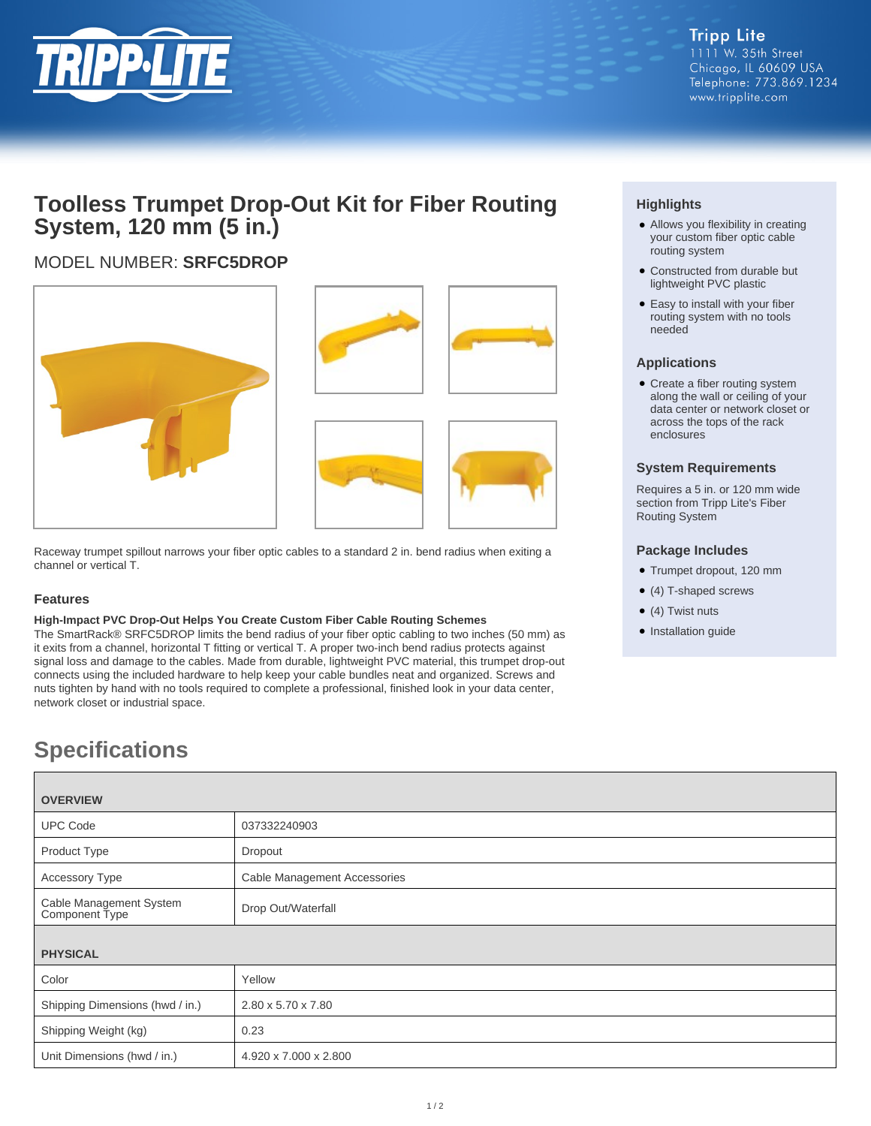

# **Toolless Trumpet Drop-Out Kit for Fiber Routing System, 120 mm (5 in.)**

## MODEL NUMBER: **SRFC5DROP**





Raceway trumpet spillout narrows your fiber optic cables to a standard 2 in. bend radius when exiting a channel or vertical T.

### **Features**

#### **High-Impact PVC Drop-Out Helps You Create Custom Fiber Cable Routing Schemes**

The SmartRack® SRFC5DROP limits the bend radius of your fiber optic cabling to two inches (50 mm) as it exits from a channel, horizontal T fitting or vertical T. A proper two-inch bend radius protects against signal loss and damage to the cables. Made from durable, lightweight PVC material, this trumpet drop-out connects using the included hardware to help keep your cable bundles neat and organized. Screws and nuts tighten by hand with no tools required to complete a professional, finished look in your data center, network closet or industrial space.

# **Specifications**

| <b>OVERVIEW</b>                           |                              |
|-------------------------------------------|------------------------------|
| <b>UPC Code</b>                           | 037332240903                 |
| Product Type                              | Dropout                      |
| <b>Accessory Type</b>                     | Cable Management Accessories |
| Cable Management System<br>Component Type | Drop Out/Waterfall           |
| <b>PHYSICAL</b>                           |                              |
| Color                                     | Yellow                       |
| Shipping Dimensions (hwd / in.)           | 2.80 x 5.70 x 7.80           |
| Shipping Weight (kg)                      | 0.23                         |
| Unit Dimensions (hwd / in.)               | 4.920 x 7.000 x 2.800        |

### **Highlights**

- Allows you flexibility in creating your custom fiber optic cable routing system
- Constructed from durable but lightweight PVC plastic
- Easy to install with your fiber routing system with no tools needed

### **Applications**

• Create a fiber routing system along the wall or ceiling of your data center or network closet or across the tops of the rack enclosures

### **System Requirements**

Requires a 5 in. or 120 mm wide section from Tripp Lite's Fiber Routing System

### **Package Includes**

- Trumpet dropout, 120 mm
- (4) T-shaped screws
- $\bullet$  (4) Twist nuts
- Installation guide